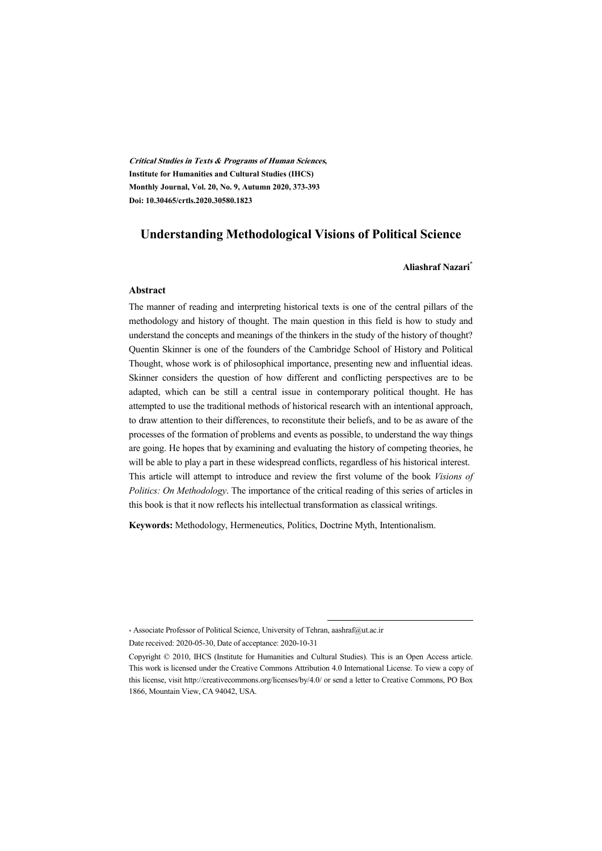**Critical Studies in Texts & Programs of Human Sciences, Institute for Humanities and Cultural Studies (IHCS) Monthly Journal, Vol. 20, No. 9, Autumn 2020, 373-393 Doi: 10.30465/crtls.2020.30580.1823**

#### **Understanding Methodological Visions of Political Science**

#### **Aliashraf Nazari\***

#### **Abstract**

The manner of reading and interpreting historical texts is one of the central pillars of the methodology and history of thought. The main question in this field is how to study and understand the concepts and meanings of the thinkers in the study of the history of thought? Quentin Skinner is one of the founders of the Cambridge School of History and Political Thought, whose work is of philosophical importance, presenting new and influential ideas. Skinner considers the question of how different and conflicting perspectives are to be adapted, which can be still a central issue in contemporary political thought. He has attempted to use the traditional methods of historical research with an intentional approach, to draw attention to their differences, to reconstitute their beliefs, and to be as aware of the processes of the formation of problems and events as possible, to understand the way things are going. He hopes that by examining and evaluating the history of competing theories, he will be able to play a part in these widespread conflicts, regardless of his historical interest. This article will attempt to introduce and review the first volume of the book *Visions of Politics: On Methodology*. The importance of the critical reading of this series of articles in this book is that it now reflects his intellectual transformation as classical writings.

**Keywords:** Methodology, Hermeneutics, Politics, Doctrine Myth, Intentionalism.

<sup>\*</sup> Associate Professor of Political Science, University of Tehran, aashraf@ut.ac.ir

Date received: 2020-05-30, Date of acceptance: 2020-10-31

Copyright © 2010, IHCS (Institute for Humanities and Cultural Studies). This is an Open Access article. This work is licensed under the Creative Commons Attribution 4.0 International License. To view a copy of this license, visit http://creativecommons.org/licenses/by/4.0/ or send a letter to Creative Commons, PO Box 1866, Mountain View, CA 94042, USA.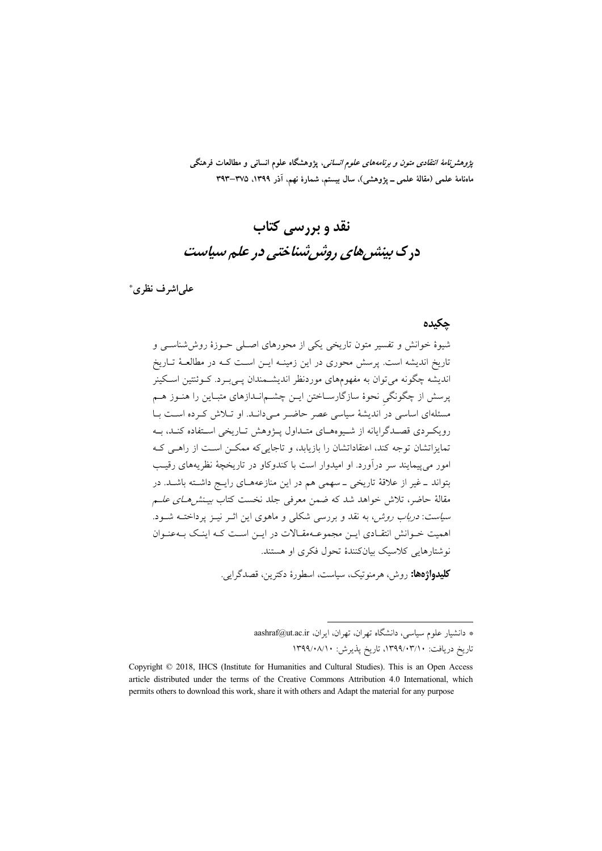*پژوهشنامهٔ انتقادی متون و برنامههای علوم انسانی*، پژوهشگاه علوم انسانی و مطالعات فرهنگی ماهنامهٔ علمی (مقالهٔ علمی ــ پژوهشی)، سال بیستم، شمارهٔ نهم، آذر ۱۳۹۹، ۳۷۵–۳۹۳

# نقد و پررسے کتاب در ک بینش های روش شناختی در علم سیاست

على اشرف نظري\*

#### جكيده

شیوهٔ خوانش و تفسیر متون تاریخی یکی از محورهای اصلی حـوزهٔ روششناسـی و تاریخ اندیشه است. پرسش محوری در این زمینـه ایــن اســت کــه در مطالعــهٔ تــاریخ اندیشه چگونه میتوان به مفهومهای موردنظر اندیشـمندان پــیبـرد. کــوئنتین اسـکینر پرسش از چگونگی نحوهٔ سازگارسـاختن ایــن چشــم|نــدازهای متبــاین را هنــوز هــم مسئلهای اساسی در اندیشهٔ سیاسی عصر حاضر میدانـد. او تـلاش کـرده اسـت بـا رویک دی قصـدگرایانه از شـیوههـای متـداول پـژوهش تـاریخی اسـتفاده کنـد، بـه تمایزاتشان توجه کند، اعتقاداتشان را بازیابد، و تاجایی& ممکـن اسـت از راهـی کـه امور می پیمایند سر درآورد. او امیدوار است با کندوکاو در تاریخچهٔ نظریههای رقیب بتواند ـ غیر از علاقهٔ تاریخی ـ سهمی هم در این منازعههـای رایـج داشـته باشـد. در مقالهٔ حاضر، تلاش خواهد شد که ضمن معرفی جلد نخست کتاب *بیـنش(مــای علــم سیاست: درباب روش،* به نقد و بررسی شکلی و ماهوی این اثـر نیــز پرداختــه شــود. اهمیت خـوانش انتقـادی ایـن مجموعـهمقـالات در ایـن اسـت کـه اینـک بـهعنـوان نوشتارهایی کلاسیک بیانکنندهٔ تحول فکری او هستند.

**کليدواژهها:** روش، هرمنوتيک، سياست، اسطورهٔ دکترين، قصدگرايي.

\* دانشیار علوم سیاسی، دانشگاه تهران، تهران، ایران، aashraf@ut.ac.ir تاریخ دریافت: ۱۳۹۹/۰۳/۱۰، تاریخ پذیرش: ۱۳۹۹/۰۸/۱۰

Copyright © 2018, IHCS (Institute for Humanities and Cultural Studies). This is an Open Access article distributed under the terms of the Creative Commons Attribution 4.0 International, which permits others to download this work, share it with others and Adapt the material for any purpose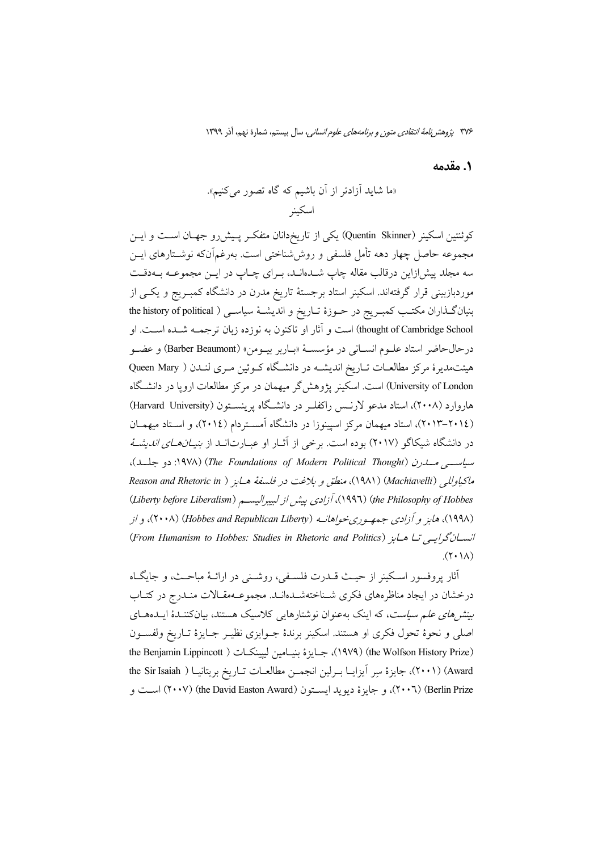1. مقدمه

كوئنتين اسكينر (Quentin Skinner) يكي از تاريخدانان متفكر پـيشررو جهـان اسـت و ايـن مجموعه حاصل چهار دهه تأمل فلسفی و روششناختی است. بهرغمآنکه نوشـتارهای ایــن سه مجلد پیش(زاین درقالب مقاله چاپ شــدانـد، بــرای چــاپ در ایــن مجموعــه بــهدقــت موردبازبینی قرار گرفتهاند. اسکینر استاد برجستهٔ تاریخ مدرن در دانشگاه کمبـریج و یکـی از بنیان گـذاران مكتـب كمبـريج در حــوزهٔ تــاريخ و انديشــهٔ سياســي ( the history of political thought of Cambridge School) است و آثار او تاکنون به نوزده زبان ترجمــه شــده اســت. او درحالحاضر استاد علـوم انسـاني در مؤسسـهٔ «بـاربر بيـومن» (Barber Beaumont) و عضـو هیئتمدیرهٔ مرکز مطالعـات تـاریخ اندیشـه در دانشـگاه کـوئین مـری لنـدن ( Queen Mary University of London) است. اسکینر یژوهش گر میهمان در مرکز مطالعات اروپا در دانشگاه هاروارد (۲۰۰۸)، استاد مدعو لارنــس راكفلــر در دانشــگاه برينســتون (Harvard University) (۲۰۱۲–۲۰۱۳)، استاد میهمان مرکز اسپینوزا در دانشگاه آمستردام (۲۰۱٤)، و استاد میهمـان در دانشگاه شیکاگو (۲۰۱۷) بوده است. برخی از آثـار او عبــارتانــد از *بنیــانـهــای اندیشــهٔ* سیاست مسایرن (The Foundations of Modern Political Thought) (۱۹۷۸: دو جلسد)، ماكياوللي (Machiavelli) (١٩٨١)، منطق و بلاغت در فلسفهٔ هـابز ( Reason and Rhetoric in (Liberty before Liberalism) أزادي بيش از لبيبراليسم (Liberty before Liberalism) (۱۹۹۸)، هایز و آزادی جمهوریخواهانــه (Hobbes and Republican Liberty) (۲۰۰۸)، و از انسان گرایسی تا هابز (From Humanism to Hobbes: Studies in Rhetoric and Politics)  $(\Upsilon \cdot \Lambda)$ 

أثار پروفسور اسکینر از حیـث قـــدرت فلســفی، روشــنی در ارائــهٔ مباحــث، و جایگــاه درخشان در ایجاد مناظرههای فکری شـناختهشـدهانـد. مجموعـهمقـالات منـدرج در کتـاب بین*ش های علم سیاست*، که اینک بهعنوان نوشتارهایی کلاسیک هستند، بیانکننـدهٔ ایـدههـای اصلي و نحوهٔ تحول فكرى او هستند. اسكينر برندهٔ جـوايزى نظيـر جـايزهٔ تـاريخ ولفسـون the Benjamin Lippincott ) ابحايزة بنيامين ليپينكات ( ۱۹۷۹) (he Wolfson History Prize Award) (٢٠٠١)، جايزة سِر آيزايــا بــرلين انجمــن مطالعــات تــاريخ بريتانيــا ( the Sir Isaiah (٢٠٠٦) (Berlin Prize)، و جايزهٔ ديويد ايســتون (the David Easton Award) (٢٠٠٧) اســت و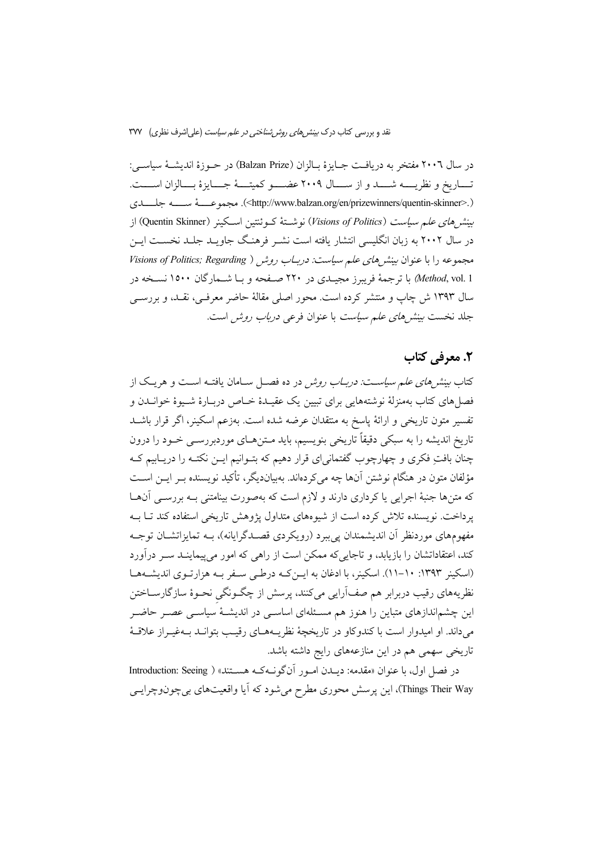در سال ۲۰۰٦ مفتخر به دريافت جــايزة بــالزان (Balzan Prize) در حــوزة انديشــة سياســي: تساريخ و نظريسه شسد و از سسال ٢٠٠٩ عضسو كميتسهٔ جسايزهٔ بسالزان اسست. (<http://www.balzan.org/en/prizewinners/quentin-skinner>). مجموعـــــهٔ ســـــه جلـــــدى بينشرهاي علىم سياست (Visions of Politics) نوشـتهٔ كـوئنتين اسـكينر (Quentin Skinner) از در سال ۲۰۰۲ به زبان انگلیسی انتشار یافته است نشـر فرهنـگ جاویــد جلــد نخســت ایــن مجموعه را با عنوان بینش های علم سیاست: دربـاب روش ( Visions of Politics; Regarding *Method*, vol. 1) با ترجمهٔ فریبرز مجیــدی در ۲۲۰ صــفحه و بــا شــمارگان ۱۵۰۰ نســخه در سال ۱۳۹۳ ش چاپ و منتشر کرده است. محور اصلی مقالهٔ حاضر معرفـی، نقـد، و بررســی جلد نخست *بینش های علم سیاست* با عنوان فرعی *درباب روش است.* 

# ٢. معرفي كتاب

کتاب *بینش های علم سیاست: دربـاب روش* در ده فصـل سـامان یافتــه اسـت و هریـک از فصلهای کتاب بهمنزلهٔ نوشتههایی برای تبیین یک عقیـدهٔ خـاص دربـارهٔ شـیوهٔ خوانــدن و تفسیر متون تاریخی و ارائهٔ پاسخ به منتقدان عرضه شده است. بهزعم اسکینر، اگر قرار باشــد تاريخ انديشه را به سبكي دقيقاً تاريخي بنويسيم، بايد مـتنهـاي موردبررســي خــود را درون چنان بافتِ فکری و چهارچوب گفتمانی ای قرار دهیم که بتـوانیم ایــن نکتــه را دریــابیم کــه مؤلفان متون در هنگام نوشتن آنها چه میکردهاند. بهبیاندیگر، تأکید نویسنده بـر ایــن اســت که متنها جنبهٔ اجرایی یا کرداری دارند و لازم است که بهصورت بینامتنی بـه بررسـی آنهــا یرداخت. نویسنده تلاش کرده است از شیوههای متداول پژوهش تاریخی استفاده کند تــا بــه مفهومهای موردنظر آن اندیشمندان پے بیرد (رویکردی قصـدگرایانه)، بـه تمایزاتشــان توجــه کند، اعتقاداتشان را بازیابد، و تاجایی که ممکن است از راهی که امور می پیماینـد سـر درآورد (اسکینر ۱۳۹۳: ۱۰-۱۱). اسکینر، با ادغان به ایــن کــه درطــی ســفر بــه هزارتــوی اندیشــههــا نظریههای رقیب دربرابر هم صفآرایی میکنند، پرسش از چگـونگی نحـوهٔ سازگارســاختن این چشم|ندازهای متباین را هنوز هم مسـئلهای اساسـی در اندیشـهٔ سیاسـی عصـر حاضـر می داند. او امیدوار است با کندوکاو در تاریخچهٔ نظریـههـای رقیـب بتوانــد بــهغیــراز علاقــهٔ تاریخی سهمی هم در این منازعههای رایج داشته باشد.

در فصل اول، با عنوان «مقدمه: دیبدن امبور آنگونبه کبه هستند» ( Introduction: Seeing Things Their Way)، این پرسش محوری مطرح می شود که آیا واقعیتهای بی چونوچرایسی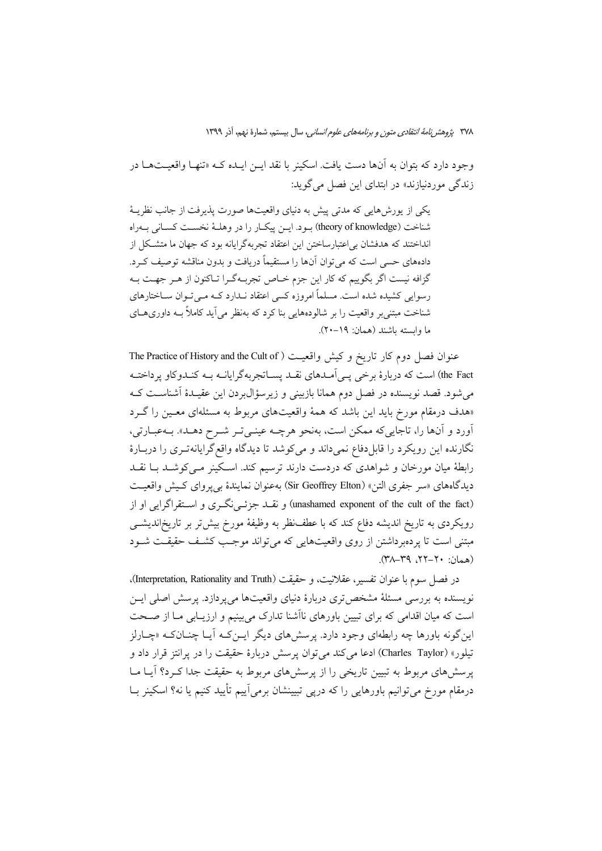وجود دارد که بتوان به آنها دست یافت. اسکینر با نقد ایــن ایــده کــه «تنهــا واقعیــتهــا در زندگی موردنبازند» در ابتدای این فصل می گوید:

یکی از یورشهایی که مدتی پیش به دنیای واقعیتها صورت پذیرفت از جانب نظریـهٔ شناخت (theory of knowledge) بود. اين ييكار را در وهلـهٔ نخسـت كسـاني بـهراه انداختند که هدفشان بی|عتبارساختن این اعتقاد تجربهگرایانه بود که جهان ما متشکل از دادههای حسی است که می توان آنها را مستقیماً دریافت و بدون مناقشه توصیف کـرد. گزافه نیست اگر بگوییم که کار این جزم خـاص تجربـهگـرا تـاکنون از هـر جهـت بـه رسوایی کشیده شده است. مسلماً امروزه کسی اعتقاد نـدارد کــه مــیتــوان ســاختارهای شناخت مبتني بر واقعیت را بر شالودههایی بنا کرد که بهنظر می آید کاملاً بـه داوریهـای ما وابسته باشند (همان: ١٩-٢٠).

عنوان فصل دوم كار تاريخ و كيش واقعيت ( The Practice of History and the Cult of the Fact) است که دربارهٔ برخی یـی اَمـدهای نقـد یســاتجربهگرایانــه بــه کنــدوکاو پرداختــه می شود. قصد نویسنده در فصل دوم همانا بازبینی و زیرسؤال بردن این عقیـدهٔ آشناسـت کـه «هدف درمقام مورخ باید این باشد که همهٔ واقعیتهای مربوط به مسئلهای معـین را گـرد آورد و آنها را، تاجاییکه ممکن است، بهنحو هرچـه عینـیتـر شـرح دهـلـ». بـهعبـارتی، نگارنده این رویکرد را قابل دفاع نمی داند و می کوشد تا دیدگاه واقع گرایانه تـری را دربـارهٔ رابطهٔ میان مورخان و شواهدی که دردست دارند ترسیم کند. اسکینر مـیکوشـد بـا نقـد ديدگاههاي «سر جفري التن» (Sir Geoffrey Elton) بهعنوان نمايندهٔ بي پرواي كـيش واقعيـت (unashamed exponent of the cult of the fact) و نقلد جزئـی(نگـری و اسـتقراگرایی او از رویکردی به تاریخ اندیشه دفاع کند که با عطف نظر به وظیفهٔ مورخ بیش تر بر تاریخاندیشمی مبتنی است تا یردهبرداشتن از روی واقعیتهایی که می تواند موجب کشف حقیقت شـود  $(M-A - Y)$   $Y^2 - Y$ ,  $Y^2 - (Y)$ 

در فصل سوم با عنوان تفسير، عقلانيت، و حقيقت (Interpretation, Rationality and Truth). نویسنده به بررسی مسئلهٔ مشخص تری دربارهٔ دنیای واقعیتها میپردازد. پرسش اصلی ایــن است که میان اقدامی که برای تبیین باورهای ناآشنا تدارک میبینیم و ارزیـابی مــا از صــحت این گونه باورها چه رابطهای وجود دارد. پرسش های دیگر ایــن کــه آیــا چنــان کــه «چــارلز تيلور» (Charles Taylor) ادعا مي كند مي توان يرسش دربارة حقيقت را در يرانتز قرار داد و پرسشهای مربوط به تبیین تاریخی را از پرسشهای مربوط به حقیقت جدا کـرد؟ آیـا مـا درمقام مورخ میتوانیم باورهایی را که درپی تبیینشان برمیآییم تأیید کنیم یا نه؟ اسکینر بــا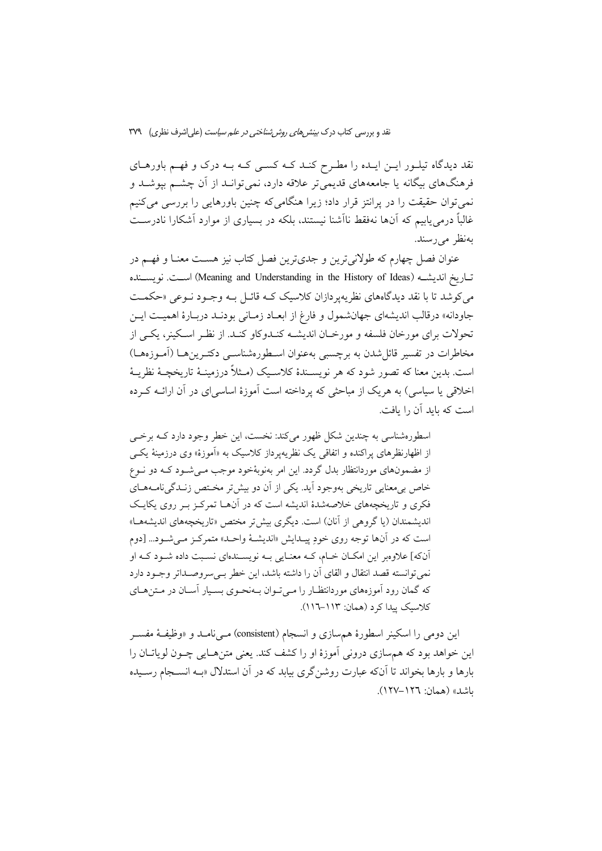نقد دیدگاه تیلـور ایــن ایــده را مطـرح کنــد کــه کســی کــه بــه درک و فهــم باورهــای فرهنگهای بیگانه یا جامعههای قدیمی تر علاقه دارد، نمی توانـد از آن چشــم بیوشـد و نمی توان حقیقت را در پرانتز قرار داد؛ زیرا هنگامی که چنین باورهایی را بررسی می کنیم غالباً درمیٍ یابیم که آنها نهفقط ناآشنا نیستند، بلکه در بسیاری از موارد آشکارا نادرسـت بەنظر مے رسند.

عنوان فصل چهارم که طولانی ترین و جدیترین فصل کتاب نیز هسـت معنــا و فهــم در تساريخ انديشـه (Meaning and Understanding in the History of Ideas) اسـت. نويســنده می کوشد تا با نقد دیدگاههای نظر به یر دازان کلاسیک کبه قائیل به وجبود نبوعی «حکمت جاودانه» درقالب انديشهاي جهانشمول و فارغ از ابعـاد زمـاني بودنـد دربـارهٔ اهميـت ايـن تحولات برای مورخان فلسفه و مورخـان اندیشــه کنــدوکاو کنــد. از نظـر اســکینر، یکــی از مخاطرات در تفسیر قائل شدن به برچسبی بهعنوان اسـطورهشناســی دکتــرینهــا (آمــوزههــا) است. بدین معنا که تصور شود که هر نویسـندهٔ کلاسـیک (مـثلاً درزمینـهٔ تاریخچـهٔ نظربـهٔ اخلاقی یا سیاسی) به هریک از مباحثی که یرداخته است آموزهٔ اساسی ای در آن ارائــه کــرده است که باید آن را بافت.

اسطورهشناسی به چندین شکل ظهور میکند: نخست، این خطر وجود دارد کـه برخــی از اظهارنظرهای پراکنده و اتفاقی یک نظریهپرداز کلاسیک به «آموزهٔ» وی درزمینهٔ یک<sub>س</sub> از مضمونهای موردانتظار بدل گردد. این امر بهنوبهٔخود موجب مے شـود کـه دو نـوع خاص بی معنایی تاریخی بهوجود آید. یکی از آن دو بیش تر مختص زنـدگی نامـههـای فکری و تاریخچههای خلاصهشدهٔ اندیشه است که در آنهـا تمرکـز بـر روی یکایـک اندیشمندان (یا گروهی از آنان) است. دیگری بیش تر مختص «تاریخچههای اندیشهها» است که در آنها توجه روی خودِ پیـدایش «اندیشـهٔ واحـد» متمرکـز مـیشـود... [دوم آنکه] علاوهبر این امکـان خـام، کـه معنـایی بـه نویسـندهای نسـبت داده شـود کـه او نمي توانسته قصد انتقال و القاي آن را داشته باشد، اين خطر بـي سروصـداتر وجـود دارد که گمان رود آموزههای موردانتظـار را مـی تـوان بـهنحـوی بسـیار آسـان در مـتن۵حـای کلاسبک پیدا کرد (همان: ۱۱۳-۱۱۲).

این دومی را اسکینر اسطورهٔ هم سازی و انسجام (consistent) مــیiامــد و «وظیفــهٔ مفســر این خواهد بود که همسازی درونی آموزهٔ او را کشف کند. یعنی متن هـایی چـون لویاتــان را بارها و بارها بخواند تا آنکه عبارت روشن گری بیابد که در آن استدلال «بـه انســجام رســیده باشد» (همان: ١٢٦–١٢٧).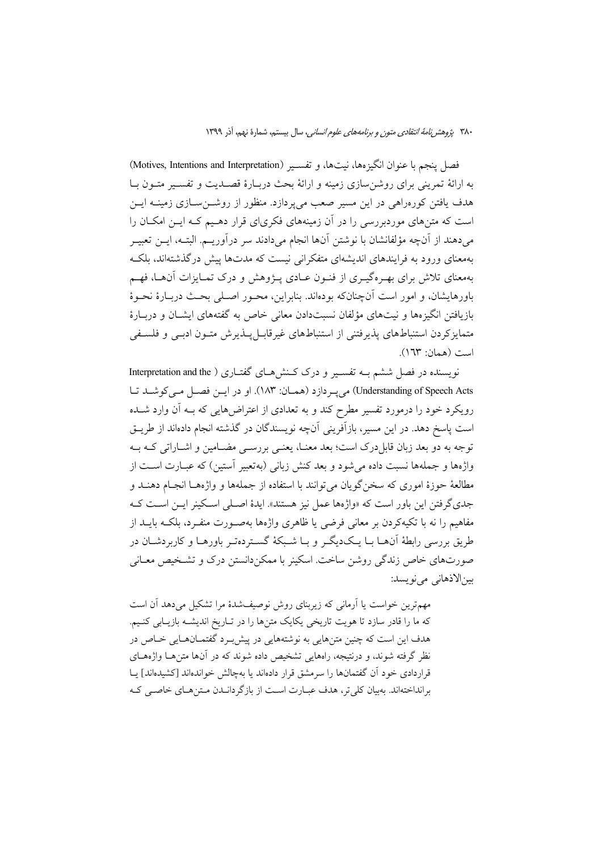فصل ينجم با عنوان انگيزهها، نيتها، و تفسـير (Motives, Intentions and Interpretation) به ارائهٔ تمرینی برای روشن سازی زمینه و ارائهٔ بحث دربـارهٔ قصـدیت و تفسـیر متـون بــا هدف یافتن کورهراهی در این مسیر صعب می یردازد. منظور از روشــنســازی زمینــه ایــن است که متنهای موردبررسی را در آن زمینههای فکریای قرار دهـیم کـه ایـن امکـان را مى دهند از آنچه مؤلفانشان با نوشتن آنها انجام مى دادند سر درآوريــم. البتــه، ايــن تعبيــر بهمعنای ورود به فرایندهای اندیشهای متفکرانی نیست که مدتها پیش درگذشتهاند، بلک بهمعنای تلاش برای بهـرهگیـری از فنـون عـادی پـژوهش و درک تمـایزات آن۱عـا، فهـم باورهایشان، و امور است آنچنانکه بودهاند. بنابراین، محـور اصـلی بحـث دربـارهٔ نحـوهٔ بازیافتن انگیزهها و نیتهای مؤلفان نسبتدادن معانی خاص به گفتههای ایشــان و دربــارهٔ متمایزکردن استنباطهای پذیرفتنی از استنباطهای غیرقابل پلذیرش متـون ادبـی و فلسـفی  $(171"$  (asli: 17")

نویسنده در فصل ششم بـه تفسـیر و درک کـنشهـای گفتـاری ( Interpretation and the Understanding of Speech Acts) میپردازد (همان: ۱۸۳). او در ایس فصل میکوشـد تا رویکرد خود را درمورد تفسیر مطرح کند و به تعدادی از اعتراضهایی که بـه آن وارد شــده است پاسخ دهد. در این مسیر، بازآفرینی آنچه نویسندگان در گذشته انجام دادهاند از طریــق توجه به دو بعد زبان قابلدرک است؛ بعد معنـا، یعنـی بررســی مضــامین و اشــاراتی کــه بــه واژهها و جملهها نسبت داده می شود و بعد کنش زبانی (بهتعبیر آستین) که عبــارت اســت از مطالعهٔ حوزهٔ اموری که سخن گویان می توانند با استفاده از جملهها و واژههــا انجــام دهنــد و جدی گرفتن این باور است که «واژهها عمل نیز هستند». ایدهٔ اصـلی اسـکینر ایـن اسـت کـه مفاهیم را نه با تکیهکردن بر معانی فرضی یا ظاهری واژهها بهصـورت منفـرد، بلکـه بایــد از طريق بررسي رابطهٔ اَنهــا بــا يــکديگــر و بــا شــبکهٔ گســتردهتـر باورهــا و کاربردشــان در صورتهای خاص زندگی روشن ساخت. اسکینر با ممکن دانستن درک و تشـخیص معـانی بين|لاذهاني مي نو يسد:

مهمترین خواست یا آرمانی که زیربنای روش نوصیفشدهٔ مرا تشکیل میدهد آن است که ما را قادر سازد تا هويت تاريخي يکايک متنها را در تـاريخ انديشـه بازيـابي کنـيم. هدف این است که چنین متنهایی به نوشتههایی در پیش برد گفتمـانهـایی خـاص در نظر گرفته شوند، و درنتیجه، راههایی تشخیص داده شوند که در آنها متن هـا واژههـای قراردادی خود آن گفتمانها را سرمشق قرار دادهاند یا بهچالش خواندهاند [کشیدهاند] پــا بر انداختهاند. به بیان کلی تر، هدف عبـارت اسـت از بازگر دانـدن مـتن هـای خاصـی کـه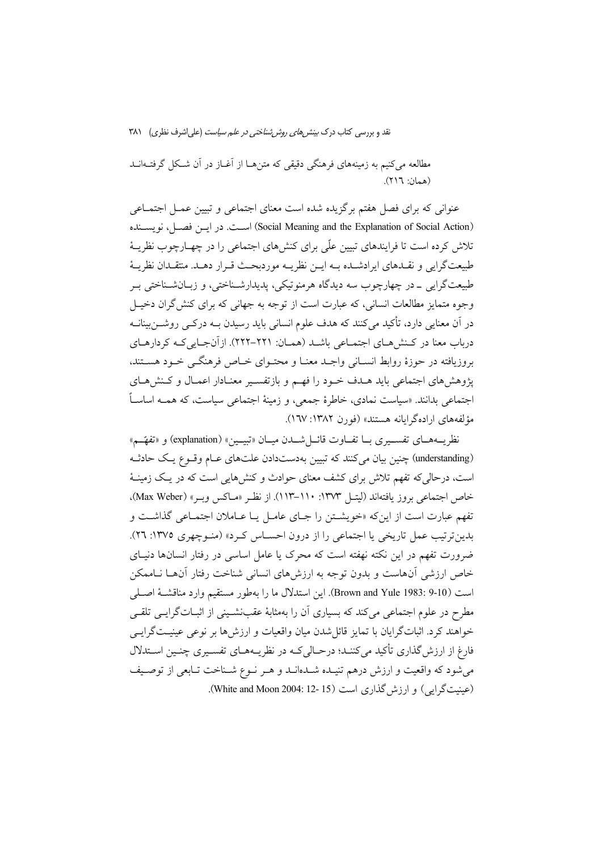مطالعه می کنیم به زمینههای فرهنگی دقیقی که متن هـا از آغـاز در آن شـکل گرفتـهانــد (همان: ٢١٦).

عنوانی که برای فصل هفتم برگزیده شده است معنای اجتماعی و تبیین عمـل اجتمــاعی (Social Meaning and the Explanation of Social Action) است. در ایس فصل، نویسسنده تلاش کرده است تا فرایندهای تبیین علّی برای کنشهای اجتماعی را در چهـارچوب نظریــهٔ طبيعتگرايي و نقـدهاي ايرادشـده بـه ايــن نظريــه موردبحـث قــرار دهــد. منتقــدان نظريــهٔ طبيعتگرايي \_ در چهارچوب سه ديدگاه هرمنوتيكي، پديدارشـناختي، و زيــانشــناختي بـر وجوه متمایز مطالعات انسانی، که عبارت است از توجه به جهانی که برای کنش گران دخیـل در آن معنایی دارد، تأکید میکنند که هدف علوم انسانی باید رسیدن بــه درکــی روشـــنiبینانــه درباب معنا در کـنش هـاي اجتمـاعي باشـد (همـان: ٢٢١–٢٢٢). ازآنجـايي کـه کردارهـاي بروزيافته در حوزهٔ روابط انسپاني واجبد معنیا و محتبواي خیاص فرهنگی خبود هستند، یژوهش های اجتماعی باید هـدف خـود را فهـم و بازتفسـیر معنـادار اعمـال و کـنش هـای اجتماعی بدانند. «سیاست نمادی، خاطرهٔ جمعی، و زمینهٔ اجتماعی سیاست، که همــه اساسـاً مؤلفههای اراده گرایانه هستند» (فورن ۱۳۸۲: ۱٦۷).

نظريــههــاي تفســيري بــا تفــاوت قائــلشــدن ميــان «تبيــين» (explanation) و «تفهّــم» (understanding) چنین بیان می کنند که تبیین بهدستدادن علتهای عـام وقـوع یـک حادثـه است، درحالی که تفهم تلاش برای کشف معنای حوادث و کنشهایی است که در یک زمینـهٔ خاص اجتماعي بروز يافتهاند (ليتـل ١٣٧٣: ١١٠-١١٣). از نظـر «مـاكس وبـر» (Max Weber). تفهم عبارت است از این که «خویشتن را جبای عامیل یبا عباملان اجتمباعی گذاشت و بدین ترتیب عمل تاریخی یا اجتماعی را از درون احسـاس کـرد» (منـوچهری ١٣٧٥: ٢٦). ضرورت تفهم در این نکته نهفته است که محرک یا عامل اساسی در رفتار انسانها دنیـای خاص ارزشی آنهاست و بدون توجه به ارزشهای انسانی شناخت رفتار آنهـا نـاممكن است (Brown and Yule 1983: 9-10). اين استدلال ما را بهطور مستقيم وارد مناقشــهٔ اصــلي مطرح در علوم اجتماعی می کند که بسیاری آن را بهمثابهٔ عقبنشـینی از اثبــاتگرایــی تلقــی خواهند کرد. اثباتگرایان با تمایز قائل شدن میان واقعیات و ارزشها بر نوعی عینیـتگرایـی فارغ از ارزش گذاری تأکید می کننـد؛ درحـالی کـه در نظریـههــای تفســیری چنــین اســتدلال می شود که واقعیت و ارزش درهم تنیـده شـدهانـد و هـر نـوع شـناخت تـابعی از توصـیف (عینیت گرایی) و ارزش گذاری است (White and Moon 2004: 12- 15).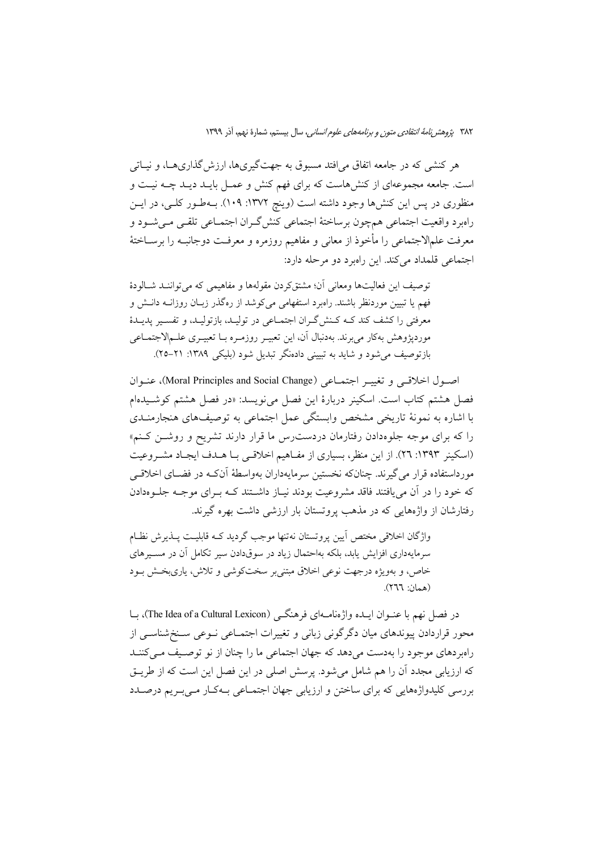هر کنشی که در جامعه اتفاق می|فتد مسبوق به جهتگیریها، ارزش گذاریهـا، و نیــاتی است. جامعه مجموعهای از کنشهاست که برای فهم کنش و عمـل بایـد دیـد چـه نیـت و منظوری در پس این کنشها وجود داشته است (وینچ ۱۳۷۲: ۱۰۹). بـهطـور کلـی، در ایــن راهبرد واقعیت اجتماعی همچون برساختهٔ اجتماعی کنش گـران اجتمــاعی تلقــی مــیشــود و معرفت علمالاجتماعي را مأخوذ از معاني و مفاهيم روزمره و معرفـت دوجانبـه را برســاختهٔ اجتماعي قلمداد مي كند. اين راهبرد دو مرحله دارد:

توصيف اين فعاليتها ومعاني آن؛ مشتق كردن مقولهها و مفاهيمي كه مي تواننـد شـالودهٔ فهم یا تبیین موردنظر باشند. راهبرد استفهامی می کوشد از رهگذر زبـان روزانــه دانــش و معرفتي را كشف كند كـه كـنش گـران اجتمـاعي در توليـد، بازتوليـد، و تفسـير پديـدۀ موردپژوهش بهکار می برند. بهدنبال آن، این تعبیـر روزمـره بـا تعبیـری علـمالاجتمـاعی بازتوصيف مي شود و شايد به تبييني دادهنگر تبديل شود (بليکي ١٣٨٩: ٢١–٢٥).

اصول اخلاقی و تغییـر اجتمـاعی (Moral Principles and Social Change)، عنـوان فصل هشتم كتاب است. اسكينر دربارة اين فصل مي نويسد: «در فصل هشتم كوشـيدهام با اشاره به نمونهٔ تاریخی مشخص وابستگی عمل اجتماعی به توصیفهای هنجارمنــدی را که برای موجه جلوهدادن رفتارمان دردست رس ما قرار دارند تشریح و روشــن کـنم» (اسکینر ۱۳۹۳: ۲۹). از این منظر، بسیاری از مفـاهیم اخلاقـی بـا هـدف ایجـاد مشـروعیت مورداستفاده قرار می گیرند. چنانکه نخستین سرمایهداران بهواسطهٔ آنکـه در فضــای اخلاقــی که خود را در آن می بافتند فاقد مشروعیت بودند نساز داشتند کــه بـرای موجــه جلــومدادن رفتارشان از واژههایی که در مذهب یروتستان بار ارزشی داشت بهره گیرند.

واژگان اخلاقی مختص آیین پروتستان نهتنها موجب گردید کـه قابلیـت پــذیرش نظــام سرمایهداری افزایش یابد، بلکه بهاحتمال زیاد در سوقدادن سیر تکامل آن در مسـیرهای خاص، و بهویژه درجهت نوعی اخلاق مبتنی بر سختکوشی و تلاش، پاریبخش بود (همان: ٢٦٦).

در فصل نهم با عنــوان ايــده واژهنامــهاي فرهنگــي (The Idea of a Cultural Lexicon)، بــا محور قراردادن پیوندهای میان دگر گونی زبانی و تغییرات اجتمــاعی نــوعی ســنخشناســی از راهبردهای موجود را بهدست میدهد که جهان اجتماعی ما را چنان از نو توصیف می کننـد که ارزیابی مجدد آن را هم شامل میشود. پرسش اصلی در این فصل این است که از طریــق بررسی کلیدواژههایی که برای ساختن و ارزیابی جهان اجتمــاعی بــهکــار مــی بــر یم درصـــدد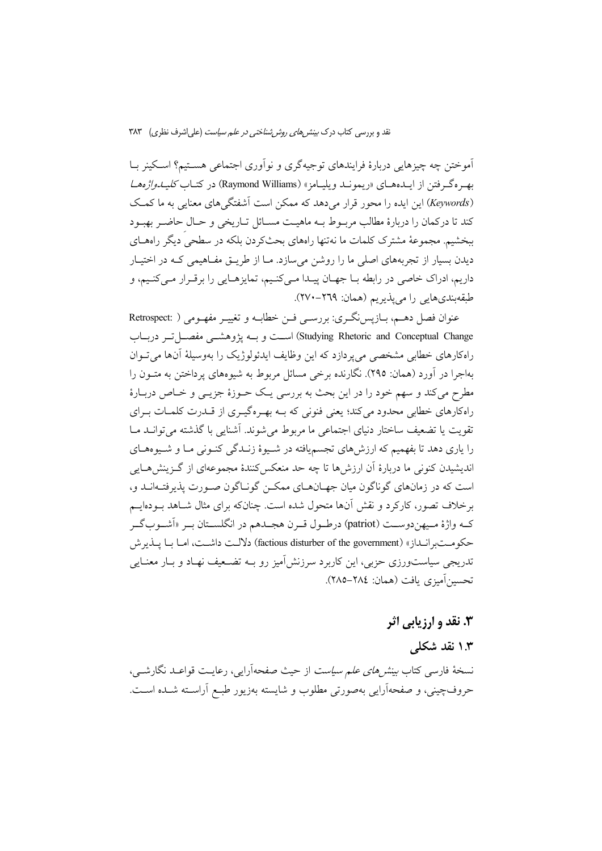آموختن چه چیزهایی دربارهٔ فرایندهای توجیهگری و نوآوری اجتماعی هسـتیم؟ اسـکینر بــا بهم ه گرفتن از ایـدههـای «ریمونـد ویلیـامز» (Raymond Williams) در کتـاب *کلیـدواژههـا* (Keywords) این ایده را محور قرار می دهد که ممکن است آشفتگی های معنایی به ما کمک كند تا دركمان را دربارهٔ مطالب مربـوط بــه ماهيـت مســائل تــاريخي و حــال حاضــر بهبــود ببخشیم. مجموعهٔ مشترک کلمات ما نهتنها راههای بحثکردن بلکه در سطحی دیگر راههـای دیدن بسیار از تجربههای اصلی ما را روشن میسازد. مـا از طریــق مفــاهیمی کــه در اختیــار داریم، ادراک خاصی در رابطه بـا جهـان پیـدا مـیکنـیم، تمایزهـایی را برقـرار مـیکنـیم، و طبقهبندي هايي را مي يذيريم (همان: ٢٦٩-٢٧٠).

عنوان فصل دهـم، بـازيس نگـري: بررسـي فـن خطابـه و تغييـر مفهـومي ( :Retrospect Studying Rhetoric and Conceptual Change) است و بسه يژوهشسي مفصل تبر دريبات راهکارهای خطابی مشخصی می پردازد که این وظایف ایدئولوژیک را بهوسیلهٔ آنها می تــوان بهاجرا در آورد (همان: ۲۹۵). نگارنده برخی مسائل مربوط به شیوههای یرداختن به متــون را مطرح میکند و سهم خود را در این بحث به بررسی یـک حــوزهٔ جزیــی و خــاص دربــارهٔ راهکارهای خطابی محدود میکند؛ یعنی فنونی که بـه بهـرهگیـری از قــدرت کلمـات بـرای تقويت يا تضعيف ساختار دنياي اجتماعي ما مربوط مي شوند. آشنايي با گذشته مي توانــد مــا را پاری دهد تا بفهمیم که ارزش های تجسم یافته در شـیوهٔ زنــدگی کنــونی مــا و شــیوههــای اندیشیدن کنونی ما دربارهٔ اَن ارزش ها تا چه حد منعکس کنندهٔ مجموعهای از گـزینش هـایی است که در زمانهای گوناگون میان جهـانهـای ممکــن گونــاگون صــورت پذیرفتــهانــد و، برخلاف تصور، کارکرد و نقش آنها متحول شده است. چنانکه برای مثال شـاهد بــودهایــم كـه واژهٔ مـيهندوســت (patriot) درطـول قــرن هجــدهم در انگلســتان بــر «اَشــوبگــر حكومتبرانـداز» (factious disturber of the government) دلالـت داشـت، امـا بـا پـذيرش تدریجی سیاستورزی حزبی، این کاربرد سرزنش]میز رو بــه تضــعیف نهــاد و بــار معنــایـی تحسين آميزي بافت (همان: ٢٨٤–٢٨٥).

## **۳. نقد و ارزیابی اثر**

# ۱.۳ نقد شکلی

نسخهٔ فارسی کتاب *بینتر های علم سیاست* از حیث صفحهآرایی، رعایت قواعید نگارشیی، حروفچینی، و صفحهآرایی بهصورتی مطلوب و شایسته بهزیور طبع آراسـته شـده اسـت.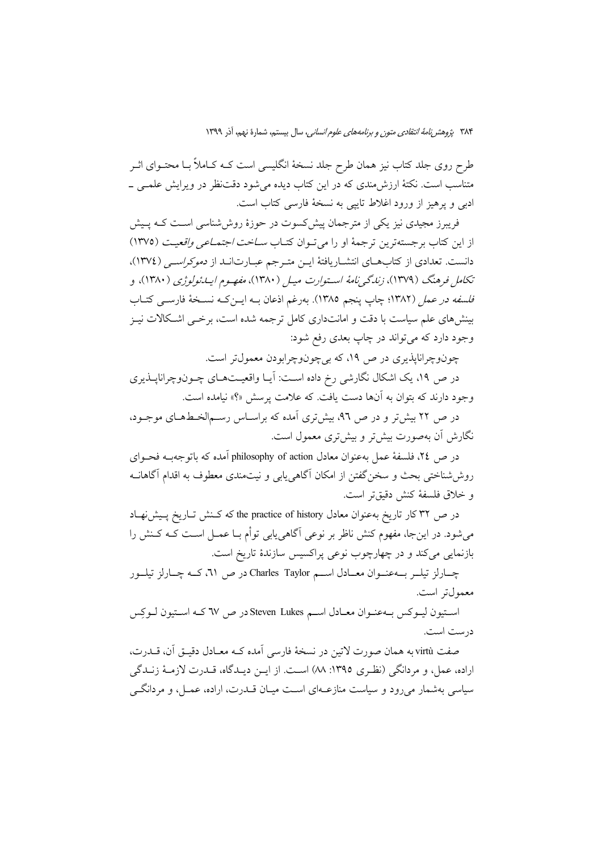طرح روی جلد کتاب نیز همان طرح جلد نسخهٔ انگلیسی است کـه کـاملاً بـا محتــوای اثــر متناسب است. نکتهٔ ارزش،مندی که در این کتاب دیده می شود دقتنظر در ویرایش علمـی ــ ادبی و پرهیز از ورود اغلاط تایبی به نسخهٔ فارسی کتاب است.

فریبرز مجیدی نیز یکی از مترجمان پیش کسوت در حوزهٔ روششناسی است کـه پـیش از این کتاب بر جستهترین ترجمهٔ او را می تـوان کتـاب *سـاخت اجتمـاعی واقعیـت* (١٣٧٥) دانست. تعدادی از کتابهای انتشاریافتهٔ ایـن متـرجم عبـارتانـد از *دموکراسـی (*۱۳۷٤)، تکامل فرهنگ (۱۳۷۹)، زندگی نامهٔ استوارت میل (۱۳۸۰)، م*فهرم ایبدئولوژی (*۱۳۸۰)، و فلسفه در عمل (١٣٨٢؛ چاپ پنجم ١٣٨٥). بهرغم اذعان بـه ايــن كـه نســخهٔ فارســي كتــاب بینشهای علم سیاست با دقت و امانتداری کامل ترجمه شده است، برخـی اشـکالات نیـز وجود دارد که مي تواند در چاپ بعدي رفع شود:

چونوچراناپذیری در ص ۱۹، که بیچونوچرابودن معمول تر است.

در ص ۱۹، یک اشکال نگارشی رخ داده است: آیـا واقعیـتهـای چـونوچراناپــذیری وجود دارند که بتوان به آنها دست یافت. که علامت پرسش «؟» نیامده است.

در ص ۲۲ بیش تر و در ص ۹۲، بیش تری آمده که براسـاس رسـمالخـطهـای موجـود، نگارش آن بهصورت بیش تر و بیش تری معمول است.

در ص ٢٤، فلسفة عمل بهعنوان معادل philosophy of action آمده كه باتوجهبـه فحـواي روششناختی بحث و سخن گفتن از امکان آگاهی یابی و نیتمندی معطوف به اقدام آگاهانــه و خلاق فلسفهٔ کنش دقیقتر است.

در ص ٣٢ كار تاريخ به عنوان معادل the practice of history كه كـنش تـاريخ يـيش نهـاد میشود. در اینجا، مفهوم کنش ناظر بر نوعی آگاهی،یابی توأم بـا عمــل اسـت کــه کــنش را بازنمایی میکند و در چهارچوب نوعی پراکسیس سازندهٔ تاریخ است.

چــارلز تيلــر بـــهعنــوان معــادل اســـم Charles Taylor در ص ٣١، كــه چــارلز تيلــور معمول تر است.

استيون ليوكس به عنوان معادل اسم Steven Lukes در ص ٦٧ كـه استيون لـوكِس درست است.

صفت virtù به همان صورت لاتین در نسخهٔ فارسی آمده کـه معـادل دقیــق آن، قــدرت، اراده، عمل، و مردانگی (نظری ١٣٩٥: ٨٨) است. از ایـن دیـدگاه، قـدرت لازمـهٔ زنـدگی سیاسی بهشمار می رود و سیاست منازعـهای اسـت میـان قــدرت، اراده، عمــل، و مردانگــی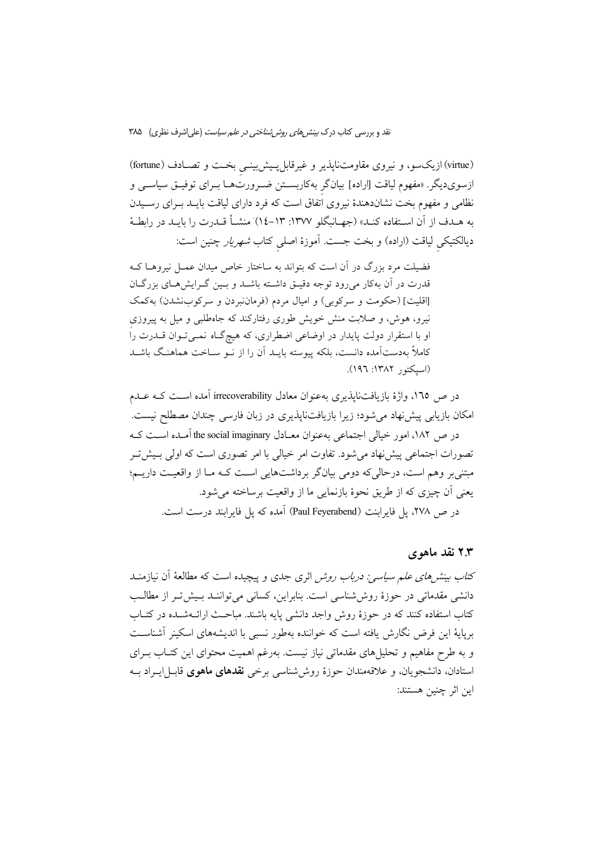(virtue) ازیکسو، و نیروی مقاومتناپذیر و غیرقابل پیش بینمی بخت و تصـادف (fortune) ازسویدیگر. «مفهوم لیاقت [اراده] بیانگر بهکاربستن ضـرورتهـا بـرای توفیـق سیاسـی و نظامی و مفهوم بخت نشاندهندهٔ نیروی اتفاق است که فرد دارای لیاقت بایــد بــرای رســیدن به هـدف از آن اسـتفاده كنـد» (جهـانبگلو ١٣٧٧: ١٣-١٤) منشــأ قــدرت را بايــد در رابطــهٔ دیالکتیکی لیاقت (اراده) و بخت جست. آموزهٔ اصلی کتاب *شهریار* چنین است:

فضیلت مرد بزرگ در آن است که بتواند به ساختار خاص میدان عمـل نیروهـا کـه قدرت در آن بهکار میرود توجه دقیـق داشـته باشـد و بـین گـرایش هـای بزرگـان [اقلیت] (حکومت و سرکوبی) و امیال مردم (فرماننبردن و سرکوبنشدن) بهکمک نیرو، هوش، و صلابت منش خویش طوری رفتارکند که جاهطلبی و میل به پیروزی او با استقرار دولت پایدار در اوضاعی اضطراری، که هیچگـاه نمــیتــوان قــدرت راً کاملاً بهدستآمده دانست، بلکه پیوسته بایــد اَن را از نــو ســاخت هماهنـگ باشــد (اسبكتور ١٣٨٢: ١٩٦).

در ص ١٦٥، واژهٔ بازیافتنایذیری بهعنوان معادل irrecoverability آمده است کـه عــدم امکان بازیابی پیش نهاد می شود؛ زیرا بازیافتنایذیری در زبان فارسی چندان مصطلح نیست. در ص ١٨٢، امور خيالي اجتماعي بهعنوان معـادل the social imaginary آمـده اسـت كـه تصورات اجتماعی پیش:هاد می شود. تفاوت امر خیالی با امر تصوری است که اولی بـیش تـر مبتنیبر وهم است، درحالیکه دومی بیانگر برداشتهایی است کـه مـا از واقعیـت داریــم؛ يعني أن چيزي كه از طريق نحوهٔ بازنمايي ما از واقعيت برساخته مي شود. در ص ٢٧٨، يل فايراينت (Paul Feyerabend) آمده كه يل فايرايند درست است.

## ۲.۳ نقد ماهوی

کت*اب بینش های علم سیاسی: درباب روش* اثری جدی و پیچیده است که مطالعهٔ آن نیازمنــد دانشی مقدماتی در حوزهٔ روش شناسی است. بنابراین، کسانی می تواننـد بـیش تـر از مطالـب کتاب استفاده کنند که در حوزهٔ روش واجد دانشی پایه باشند. مباحث ارائــهشــده در کتــاب برپایهٔ این فرض نگارش یافته است که خواننده بهطور نسبی با اندیشههای اسکینر آشناست و به طرح مفاهیم و تحلیل های مقدماتی نیاز نیست. بهرغم اهمیت محتوای این کتـاب بـرای استادان، دانشجويان، و علاقهمندان حوزهٔ روش شناسی برخی **نقدهای ماهوی** قابـل|پـراد بــه اين اثر چنين هستند: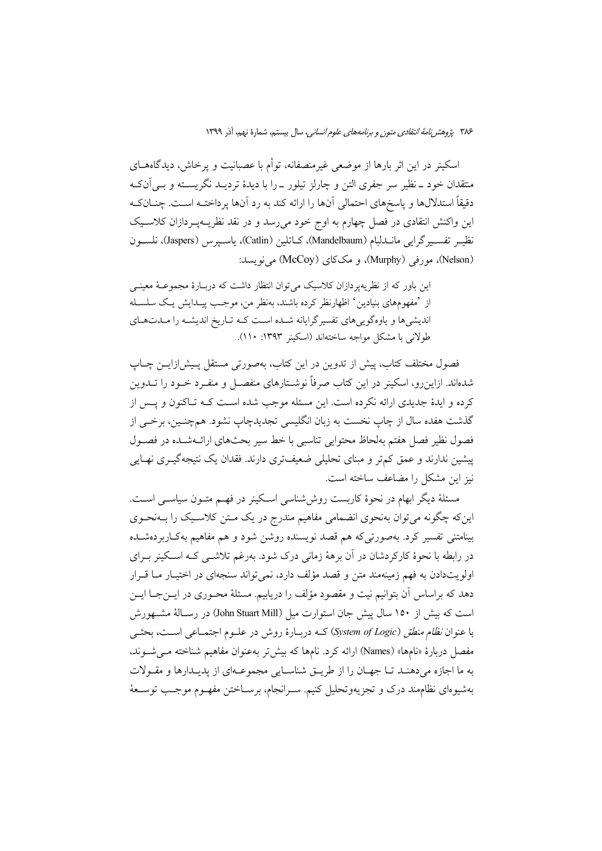اسکینر در این اثر بارها از موضعی غیرمنصفانه، توأم با عصبانیت و پرخاش، دیدگاههــای منتقدان خود ــ نظیر سر جفری التن و چارلز تیلور ــ را با دیدهٔ تردیــد نگریســته و بــی|نکـه دقیقاً استدلالها و پاسخهای احتمالی آنها را ارائه کند به رد آنها پرداختـه اسـت. چنــانکـه این واکنش انتقادی در فصل چهارم به اوج خود میرسد و در نقد نظریــهپـردازان کلاســیک نظيـر تفسـيرگرايـي مانــدلبام (Mandelbaum)، كــاتلين (Catlin)، ياسـيرس (Jaspers)، نلســون (Nelson)، مورفی (Murphy)، و مککای (McCoy) می نویسد:

این باور که از نظریهیردازان کلاسیک می توان انتظار داشت که دربـارهٔ مجموعــهٔ معینــی از 'مفهومهاي بنيادين' اظهارنظر كرده باشند، بهنظر من، موجب پيـدايش يـك سلسـله اندیشیها و یاوهگوییهای تفسیرگرایانه شده است کـه تـاریخ اندیشـه را مـدتهـای طولانی با مشکل مواجه ساختهاند (اسکینر ۱۳۹۳: ۱۱۰).

فصول مختلف کتاب، پیش از تدوین در این کتاب، بهصورتی مستقل پـیش(زایــن چــاپ شدهاند. ازاین رو، اسکینر در این کتاب صرفاً نوشـتارهای منفصــل و منفــرد خــود را تــدوین کرده و ایدهٔ جدیدی ارائه نکرده است. این مسئله موجب شده است کـه تـاکنون و پـس از گذشت هفده سال از چاپ نخست به زبان انگلیسی تجدیدچاپ نشود. همچنـین، برخـی از فصول نظیر فصل هفتم بهلحاظ محتوایی تناسبی با خط سیر بحثهای ارائـهشــده در فصــول پیشین ندارند و عمق کمتر و مبنای تحلیلی ضعیفتری دارند. فقدان یک نتیجهگیــری نهــایی نیز این مشکل را مضاعف ساخته است.

مسئلهٔ دیگر ابهام در نحوهٔ کاربست روش۵نناسی اسکینر در فهــم متــون سیاســی اســت. اینکه چگونه می توان بهنحوی انضمامی مفاهیم مندرج در یک مـتن کلاسـیک را بــهنحــوی بينامتني تفسير كرد. بهصورتي كه هم قصد نويسنده روشن شود و هم مفاهيم بهكـاربردهشـده در رابطه با نحوهٔ کارکردشان در آن برههٔ زمانی درک شود. بهرغم تلاشــی کــه اســکینر بــرای اولویتدادن به فهم زمینهمند متن و قصد مؤلف دارد، نمی تواند سنجهای در اختیـار مـا قـرار دهد که براساس آن بتوانیم نیت و مقصود مؤلف را دریابیم. مسئلهٔ محـوری در ایــنجــا ایــن است که بیش از ۱۵۰ سال پیش جان استوارت میل (John Stuart Mill) در رسـالهٔ مشــهورش با عنوان *نظام منطق (System of Logic*) کــه دربـارهٔ روش در علــوم اجتمــاعی اســت، بحثــی مفصل دربارهٔ «نامها» (Names) ارائه کرد. نامها که بیش تر بهعنوان مفاهیم شناخته مــیشــوند، به ما اجازه میدهنـد تـا جهـان را از طريـق شناسـايي مجموعـهاي از پديـدارها و مقـولات بهشيوهاي نظامهند درک و تجزيهوتحليل کنيم. سـرانجام، برســاختن مفهــوم موجــب توســعهٔ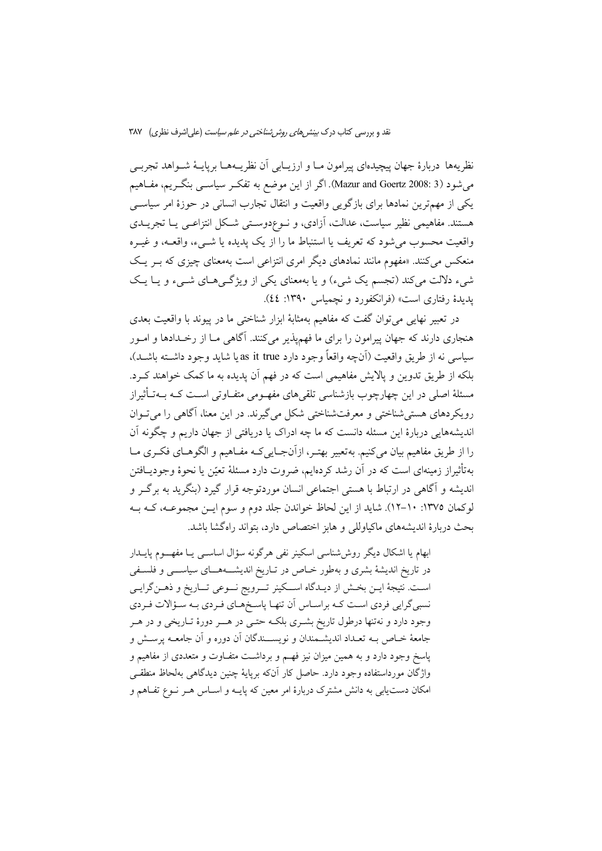نظريهها دربارهٔ جهان پيچيدهاي پيرامون مــا و ارزيــابي اَن نظريــههــا برپايــهٔ شــواهد تجربــي میشود (Mazur and Goertz 2008: 3). اگر از این موضع به تفکـر سیاســی بنگــریـم، مفــاهیـم یکی از مهمترین نمادها برای بازگویی واقعیت و انتقال تجارب انسانی در حوزهٔ امر سیاسی هستند. مفاهیمی نظیر سیاست، عدالت، آزادی، و نوعدوستی شکل انتزاعـی یـا تجریــدی واقعیت محسوب می شود که تعریف یا استنباط ما را از یک پدیده یا شبیء، واقعـه، و غیــره منعکس می کنند. «مفهوم مانند نمادهای دیگر امری انتزاعی است بهمعنای چیزی که بـر یـک شیء دلالت میکند (تجسم یک شیء) و یا بهمعنای یکی از ویژگیهای شــیء و یـا یـک یدیدهٔ رفتاری است» (فرانکفورد و نجمیاس ۱۳۹۰: ٤٤).

در تعبير نهايي مي توان گفت كه مفاهيم بهمثابهٔ ابزار شناختي ما در پيوند با واقعيت بعدي هنجاري دارند كه جهان پيرامون را براي ما فهم يذير مي كنند. آگاهي مـا از رخــدادها و امــور سياسي نه از طريق واقعيت (أنچه واقعاً وجود دارد as it true يا شايد وجود داشــته باشــد)، بلکه از طریق تدوین و پالایش مفاهیمی است که در فهم آن پدیده به ما کمک خواهند ک رد. مسئلهٔ اصلی در این چهارچوب بازشناسی تلقیهای مفهـومی متفـاوتی اسـت کـه بــهتـأثیراز رویکردهای هستی شناختی و معرفتشناختی شکل می گیرند. در این معنا، آگاهی را می تـوان اندیشههایی دربارهٔ این مسئله دانست که ما چه ادراک یا دریافتی از جهان داریم و چگونه آن را از طريق مفاهيم بيان مي كنيم. بهتعبير بهتـر، ازآنجـايي كـه مفـاهيم و الگوهـاي فكـرى مـا بهتأثیراز زمینهای است که در آن رشد کردهایم، ضروت دارد مسئلهٔ تعیّن یا نحوهٔ وجودیــافتن اندیشه و آگاهی در ارتباط با هستی اجتماعی انسان موردتوجه قرار گیرد (بنگرید به برگـر و لوكمان ١٣٧٥: ١٠-١٢). شايد از اين لحاظ خواندن جلد دوم و سوم ايـن مجموعـه، كـه بـه بحث دربارهٔ اندیشههای ماکیاوللی و هابز اختصاص دارد، بتواند راهگشا باشد.

ابهام یا اشکال دیگر روش شناسی اسکینر نفی هرگونه سؤال اساســی یــا مفهــــوم پایـــدار در تاریخ اندیشهٔ بشری و بهطور خـاص در تـاریخ اندیشـــههــای سیاســـی و فلسـفی است. نتیجهٔ ایــن بخــش از دیــدگاه اســـکینر تــــرویج نـــوعی تـــاریخ و ذهــنگرایــی نسبیگرایی فردی است کـه براسـاس آن تنهـا پاسـخمـای فـردی بـه سـؤالات فـردی وجود دارد و نهتنها درطول تاریخ بشـری بلکـه حتـی در هـــر دورهٔ تــاریخی و در هــر جامعهٔ خـاص بــه تعــداد اندیشــمندان و نویســـندگان آن دوره و آن جامعــه پرســش و پاسخ وجود دارد و به همین میزان نیز فهـم و برداشـت متفـاوت و متعددی از مفاهیم و واژگان مورداستفاده وجود دارد. حاصل کار آنکه برپایهٔ چنین دیدگاهی بهلحاظ منطقـی امکان دست یابی به دانش مشترک دربارهٔ امر معین که پایـه و اسـاس هـر نـوع تفـاهم و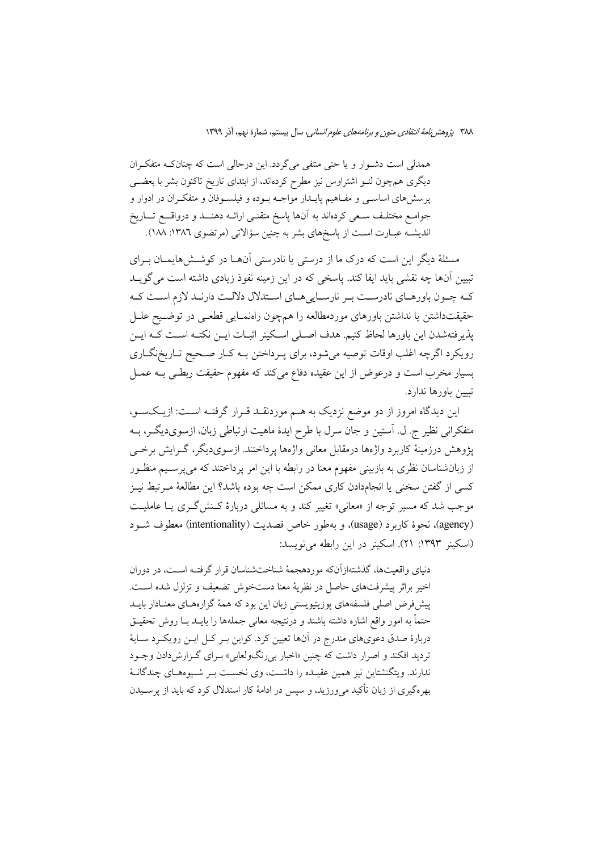همدلی است دشوار و یا حتی منتفی می گردد. این درحالی است که چنانک متفکران دیگری همچون لئـو اشتراوس نیز مطرح کردهاند، از ابتدای تاریخ تاکنون بشر با بعضــی پرسشهای اساســی و مفــاهیم پایــدار مواجــه بــوده و فیلســوفان و متفکــران در ادوار و جوامع مختلَّف سعى كردَّاند به آنها ياسخ متقنـى ارائـه دهنــد و درواقـــع تـــاريخ اندیشـه عبـارت اسـت از پاسخهای بشر به چنین سؤالاتی (مرتضوی ١٣٨٦: ١٨٨).

مسئلهٔ دیگر این است که درک ما از درستی یا نادرستی اَنهــا در کوشــش۵هایمــان بــرای تبیین آنها چه نقشی باید ایفا کند. یاسخی که در این زمینه نفوذ زیادی داشته است می گویــد کـه چـون باورهـاي نادرسـت بـر نارسـاييهـاي اسـتدلال دلالـت دارنـد لازم اسـت کـه حقيقتداشتن يا نداشتن باورهاي موردمطالعه را همچون راهنمـايي قطعـي در توضـيح علـل پذیرفتهشدن این باورها لحاظ کنیم. هدف اصـلی اسـکینر اثبـات ایــن نکتــه اســت کــه ایــن رویکرد اگرچه اغلب اوقات توصیه میشود، برای پـرداختن بـه کـار صـحیح تـاریخنگـاری بسیار مخرب است و درعوض از این عقیده دفاع میکند که مفهوم حقیقت ربطـی بــه عمــل تبيين باورها ندارد.

این دیدگاه امروز از دو موضع نزدیک به هــم موردنقــد قــرار گرفتــه اســت: ازیــکســو، متفکرانی نظیر ج. ل. آستین و جان سرل با طرح ایدهٔ ماهیت ارتباطی زبان، ازسویدیگر، بــه پژوهش درزمینهٔ کاربرد واژهها درمقابل معانی واژهها پرداختند. ازسویدیگر، گـرایش برخــی از زبانشناسان نظری به بازبینی مفهوم معنا در رابطه با این امر پرداختند که میپرسـیم منظـور كسي از گفتن سخني يا انجامدادن كاري ممكن است چه بوده باشد؟ اين مطالعهٔ مـرتبط نيـز موجب شد که مسیر توجه از «معانی» تغییر کند و به مسائلی دربارهٔ کـنش گـری یــا عاملیــت (agency)، نحوهٔ کاربرد (usage)، و بهطور خاص قصدیت (intentionality) معطوف شـود (اسکینر ۱۳۹۳: ۲۱). اسکینر در این رابطه می نویسد:

دنیای واقعیتها، گذشتهازآنکه موردهجمهٔ شناختشناسان قرار گرفتـه اسـت، در دوران اخير براثر پيشرفتهاي حاصل در نظريهٔ معنا دستخوش تضعيف و تزلزل شده است. پیشفرض اصلی فلسفههای پوزیتیویستی زبان این بود که همهٔ گزارههـای معنـادار بایــد حتماً به امور واقع اشاره داشته باشند و درنتیجه معانی جملهها را بایــد بــا روش تحقیــق دربارهٔ صدق دعویهای مندرج در آنها تعیین کرد. کواین بـر کـل ایـن رویکـرد سـایهٔ تردید افکند و اصرار داشت که چنین «اخبار بی رنگولعابی» بـرای گـزارش(دادن وجـود ندارند. ویتگنشتاین نیز همین عقیـده را داشـت، وی نخسـت بـر شـیوههـای چندگانـهٔ بهرهگیری از زبان تأکید میورزید، و سپس در ادامهٔ کار استدلال کرد که باید از پرسـیدن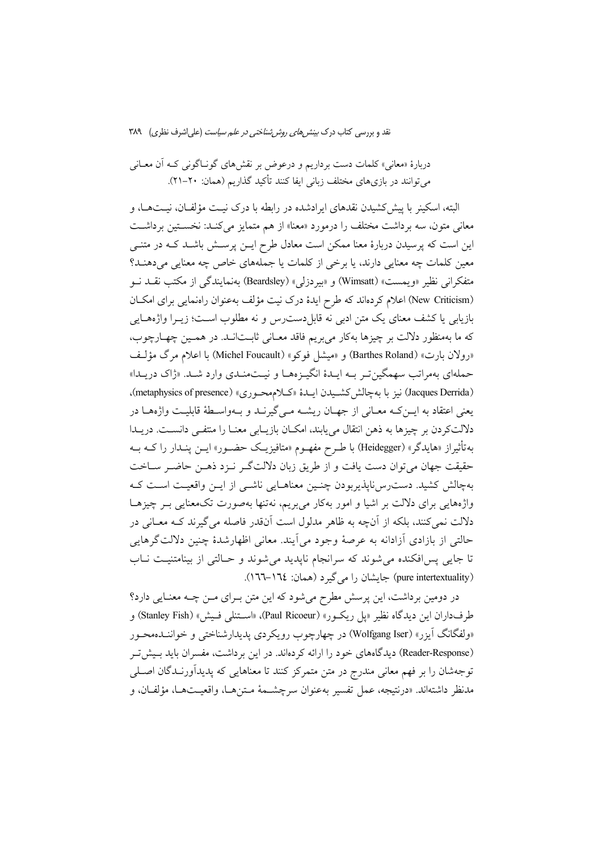دربارهٔ «معانی» کلمات دست برداریم و درعوض بر نقشهای گونـاگونی کـه آن معــانی می توانند در بازیهای مختلف زبانی ایفا کنند تأکید گذاریم (همان: ۲۰–۲۱).

البته، اسکینر با پیش کشیدن نقدهای ایرادشده در رابطه با درک نیـت مؤلفـان، نیـتهـا، و معانی متون، سه برداشت مختلف را درمورد «معنا» از هم متمایز می کنـد: نخسـتین برداشـت این است که پرسیدن دربارهٔ معنا ممکن است معادل طرح ایــن پرســش باشــد کــه در متنــی معین کلمات چه معنایی دارند، یا برخی از کلمات یا جملههای خاص چه معنایی میدهنـد؟ متفكراني نظير «ويمست» (Wimsatt) و «بيردزلي» (Beardsley) بهنمايندگي از مكتب نقــد نــو (New Criticism) اعلام کردهاند که طرح ایدهٔ درک نیت مؤلف بهعنوان راهنمایی برای امکان بازيابي يا كشف معناي يک متن ادبي نه قابل دست رس و نه مطلوب اسـت؛ زيــرا واژههــايي كه ما بهمنظور دلالت بر چيزها بهكار مي بريم فاقد معـاني ثابـتانـد. در همـين چهـارچوب، «رولان بارت» (Barthes Roland) و «میشل فوکو» (Michel Foucault) با اعلام مرگ مؤلـف حملهای بهمراتب سهمگین تـر بـه ایـدهٔ انگیـزههـا و نیـتمنـدی وارد شـد. «ژاک دریـدا» (Jacques Derrida) نیز با به چالش کشمیدن ایسدهٔ «کیلامهحوری» (metaphysics of presence)، يعني اعتقاد به ايــن كــه معــاني از جهــان ريشــه مــي گيرنــد و بــهواســطهٔ قابليــت واژههــا در دلالتکردن بر چیزها به ذهن انتقال می یابند، امکـان بازیـابی معنـا را منتفـی دانسـت. دریـدا بهتأثیراز «هایدگر» (Heidegger) با طـرح مفهــوم «متافیزیــک حضــور» ایــن پنــدار را کــه بــه حقیقت جهان می توان دست یافت و از طریق زبان دلالتگر نـزد ذهـن حاضـر سـاخت بهچالش کشید. دست رس نایذیربودن چنـین معناهـایی ناشـی از ایـن واقعیـت اسـت کـه واژههایی برای دلالت بر اشیا و امور بهکار می بریم، نهتنها بهصورت تکمعنایی بـر چیزهـا دلالت نمی کنند، بلکه از آنچه به ظاهر مدلول است آنقدر فاصله می گیرند کـه معـانی در حالتی از بازادی آزادانه به عرصهٔ وجود میآیند. معانی اظهارشدهٔ چنین دلالتگرهایی تا جایی پس افکنده می شوند که سرانجام ناپدید می شوند و حـالتی از بینامتنیـت نـاب (pure intertextuality) جایشان را می گیرد (همان: ١٦٤–١٦٦).

در دومین برداشت، این پرسش مطرح میشود که این متن بـرای مـن چــه معنـایی دارد؟ طرفداران اين ديدگاه نظير «يل ريكـور» (Paul Ricoeur)، «اســتنلي فـيش» (Stanley Fish) و «ولفگانگ اَيزر» (Wolfgang Iser) در چهارچوب رويکردي پديدارشناختي و خواننــدهمحــور (Reader-Response) دیدگاههای خود را ارائه کردهاند. در این برداشت، مفسران باید بـیش تـر توجهشان را بر فهم معانی مندرج در متن متمرکز کنند تا معناهایی که پدیدآورنـدگان اصـلی مدنظر داشتهاند. «درنتيجه، عمل تفسير بهعنوان سرچشــمهٔ مــتنهــا، واقعيــتهــا، مؤلفــان، و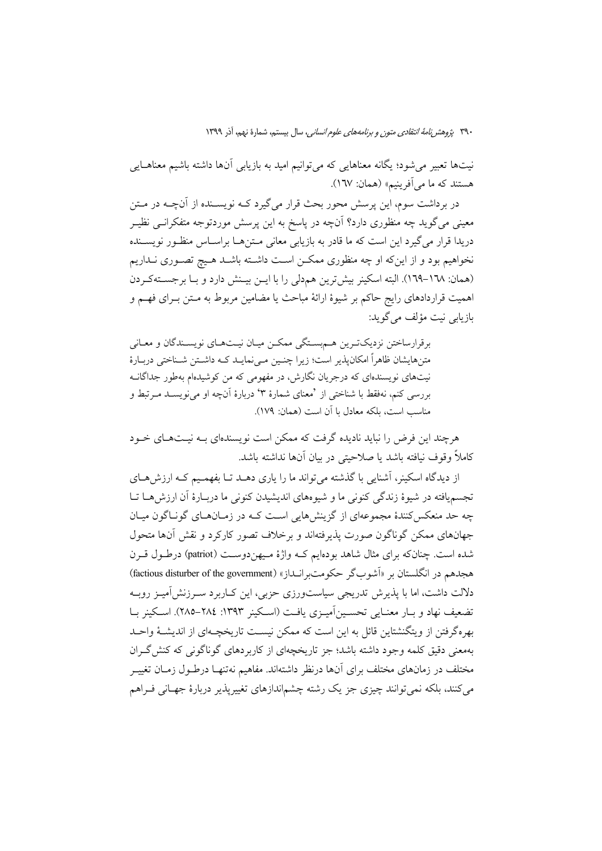نیتها تعبیر می شود؛ یگانه معناهایی که می توانیم امید به بازیابی آنها داشته باشیم معناهــایی هستند که ما می آفرینیم» (همان: ١٦٧).

در برداشت سوم، این پرسش محور بحث قرار میگیرد کــه نویســنده از آنچــه در مــتن معینی می گوید چه منظوری دارد؟ آنچه در پاسخ به این پرسش موردتوجه متفکرانــی نظیــر دریدا قرار می گیرد این است که ما قادر به بازیابی معانی مـتنهـا براسـاس منظـور نویســنده نخواهیم بود و از اینکه او چه منظوری ممکــن اســت داشــته باشــد هــیج تصــوری نــداریم (همان: ١٦٨–١٦٩). البته اسكينر بيش ترين هم دلي را با ايــن بيــنش دارد و بــا برجســتهكـردن اهميت قراردادهاي رايج حاكم بر شيوهٔ ارائهٔ مباحث يا مضامين مربوط به مـتن بـراي فهـم و باز بابی نبت مؤلف می گوید:

برقرارساختن نزديك ترين هم بستگي ممكن ميان نيتهاي نويسندگان و معاني متنهایشان ظاهراً امکان پذیر است؛ زیرا چنس می نمایـد کـه داشـتن شـناختی دربـارهٔ نیتهای نویسندهای که درجریان نگارش، در مفهومی که من کوشیدهام بهطور جداگانــه بررسی کنم، نهفقط با شناختی از 'معنای شمارهٔ ۳' دربارهٔ آنچه او می نویسـد مـرتبط و مناسب است، بلكه معادل با آن است (همان: ١٧٩).

هرچند این فرض را نباید نادیده گرفت که ممکن است نویسندهای بـه نیـتهـای خـود كاملاً وقوف نيافته باشد يا صلاحيتي در بيان آنها نداشته باشد.

از دیدگاه اسکینر، آشنایی با گذشته می تواند ما را پاری دهــد تــا بفهمــیم کــه ارزش هــای تجسمپافته در شیوهٔ زندگی کنونی ما و شیوههای اندیشیدن کنونی ما دربـارهٔ آن ارزش هــا تــا چه حد منعکس کنندهٔ مجموعهای از گزینشهایی است کـه در زمـانهـای گونـاگون میـان جهانهای ممکن گوناگون صورت پذیرفتهاند و برخلاف تصور کارکرد و نقش آنها متحول شده است. چنانکه برای مثال شاهد بودهایم کـه واژهٔ مـیهندوسـت (patriot) درطـول قــرن هجدهم در انگلستان بر «آشوبگر حکومت بر انــداز» (factious disturber of the government) دلالت داشت، اما با پذیرش تدریجی سیاستورزی حزبی، این کـاربرد سـرزنش[میـز روبـه تضعيف نهاد و بـار معنـايي تحسـين آميـزي يافـت (اسـكينر ١٣٩٣: ٢٨٤–٢٨٥). اسـكينر بـا بهرهگرفتن از ویتگنشتاین قائل به این است که ممکن نیست تاریخچـهای از اندیشـهٔ واحـد بهمعنی دقیق کلمه وجود داشته باشد؛ جز تاریخچهای از کاربردهای گوناگونی که کنش گـران مختلف در زمانهای مختلف برای آنها درنظر داشتهاند. مفاهیم نهتنهـا درطـول زمــان تغییــر میکنند، بلکه نمی توانند چیزی جز یک رشته چشماندازهای تغییرپذیر دربارهٔ جهـانی فــراهم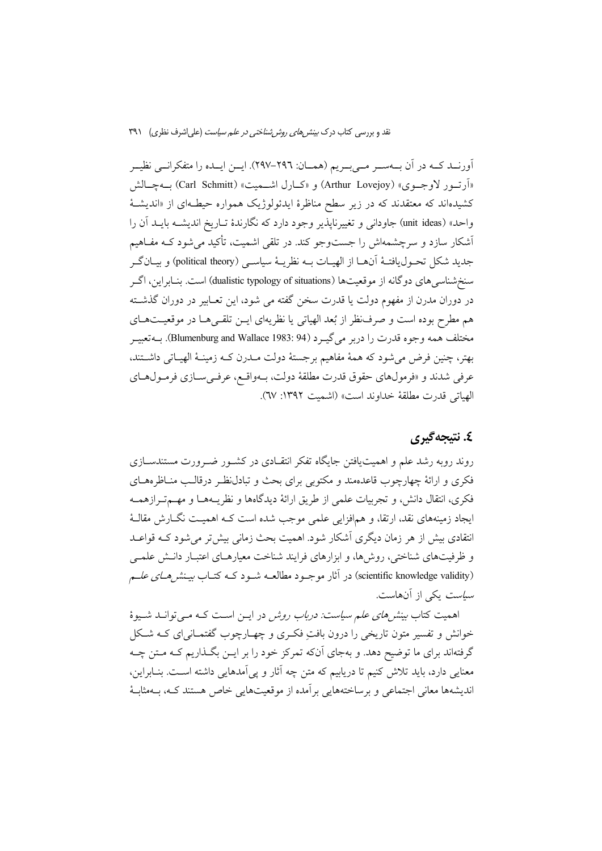آورنــد كــه در آن بــهســر مــىبــريم (همــان: ٢٩٦–٢٩٧). ايــن ايــده را متفكرانــي نظيــر «أرتسور لاوجسوي» (Arthur Lovejoy) و «كسارل اشــميت» (Carl Schmitt) بــهچـالش کشیدهاند که معتقدند که در زیر سطح مناظرهٔ ایدئولوژیک همواره حیطـهای از «اندیشـهٔ واحد» (unit ideas) جاودانی و تغییرناپذیر وجود دارد که نگارندهٔ تـاریخ اندیشــه بایــد آن را آشکار سازد و سرچشمهاش را جستوجو کند. در تلقی اشمیت، تأکید می شود کــه مفــاهیم جديد شكل تحـوليافتـهٔ اَنهـا از الهيـات بــه نظريــهٔ سياســي (political theory) و بيــانگــر سنخشناسی های دوگانه از موقعیتها (dualistic typology of situations) است. بنـابراین، اگــر در دوران مدرن از مفهوم دولت یا قدرت سخن گفته می شود، این تعـابیر در دوران گذشـته هم مطرح بوده است و صرف نظر از بُعد الهياتي يا نظريهاي ايــن تلقــيهــا در موقعيــتهــاي مختلف همه وجوه قدرت را دربر مي گيـرد (Blumenburg and Wallace 1983: 94). بــهتعبيــر بهتر، چنین فرض می شود که همهٔ مفاهیم برجستهٔ دولت مـدرن کـه زمینـهٔ الهیـاتی داشـتند، عرفي شدند و «فرمولهاي حقوق قدرت مطلقهٔ دولت، بـهواقـع، عرفـيسـازي فرمـولهـاي الهياتي قدرت مطلقة خداوند است» (اشميت ١٣٩٢: ٦٧).

# ٤. نتيجەگېرى

روند روبه رشد علم و اهمیت یافتن جایگاه تفکر انتقـادی در کشـور ضـرورت مستندســازی فکری و ارائهٔ چهارچوب قاعدهمند و مکتوبی برای بحث و تبادل نظـر درقالـب منــاظرههــای فكرى، انتقال دانش، و تجربيات علمي از طريق ارائهٔ ديدگاهها و نظريــههــا و مهــمتــرازهمــه ایجاد زمینههای نقد، ارتقا، و همافزایی علمی موجب شده است کـه اهمیـت نگــارش مقالــهٔ انتقادی بیش از هر زمان دیگری آشکار شود. اهمیت بحث زمانی بیش تر می شود کـه قواعـد و ظرفیتهای شناختی، روشها، و ابزارهای فرایند شناخت معیارهـای اعتبـار دانـش علمــی (scientific knowledge validity) در آثار موجــود مطالعــه شــود کــه کتــاب *بيـنشرهــاي علــم سیاست* یکی از آنهاست.

اهمیت کتاب *بینش های علم سیاست: دریاب روش* در ایس است کـه مـی توانــد شــیوهٔ خوانش و تفسیر متون تاریخی را درون بافت فکری و چهـارچوب گفتمــانی|ی کــه شــکل گرفتهاند برای ما توضیح دهد. و بهجای آنکه تمرکز خود را بر ایــن بگــذاریم کــه مــتن چــه معنایی دارد، باید تلاش کنیم تا دریابیم که متن چه آثار و پی آمدهایی داشته است. بنـابراین، اندیشهها معانی اجتماعی و برساختههایی بر آمده از موقعیتهایی خاص هستند کـه، پـهمثابهٔ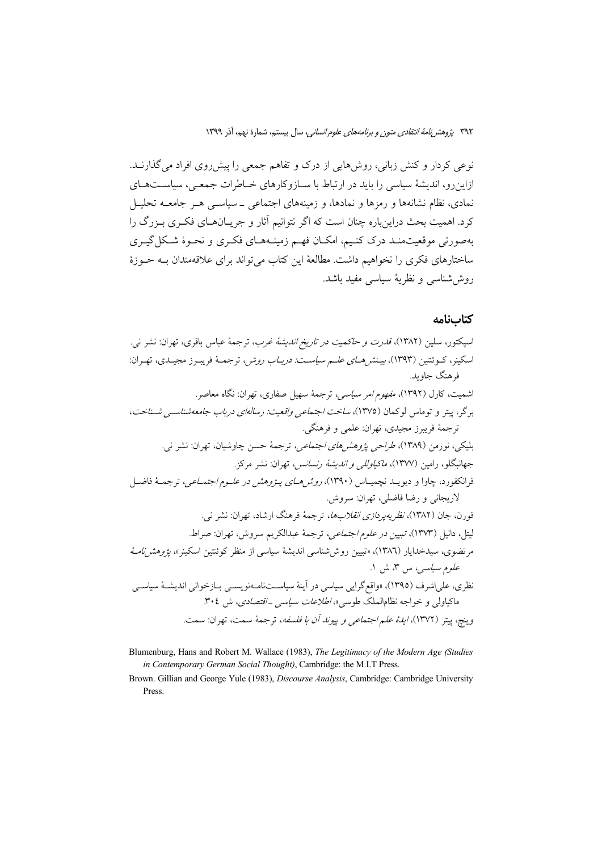نوعی کردار و کنش زبانی، روش۵هایی از درک و تفاهم جمعی را پیش روی افراد می گذارنــد. ازاین رو، اندیشهٔ سیاسی را باید در ارتباط با سـازوکارهای خـاطرات جمعـی، سیاسـتهـای نمادی، نظام نشانهها و رمزها و نمادها، و زمینههای اجتماعی \_سیاســی هــر جامعــه تحلیــل کرد. اهمیت بحث دراینباره چنان است که اگر نتوانیم آثار و جریـانهـای فکـری بـزرگ را بهصورتی موقعیتمنـد درک کنـیم، امکـان فهـم زمینـههـای فکـری و نحـوهٔ شـکل گیـری ساختارهای فکری را نخواهیم داشت. مطالعهٔ این کتاب می تواند برای علاقهمندان بــه حــوزهٔ روش شناسی و نظریهٔ سیاسی مفید باشد.

## كتابنامه

اسپکتور، سلین (۱۳۸۲)، *قدرت و حاکمیت در تاریخ اندیشهٔ غرب*، ترجمهٔ عباس باقری، تهران: نشر نبی. اسکینر، کــوئنتین (۱۳۹۳)، *بیـنش هــای علــم سیاســت: دربــاب روش*ر، ترجمــهٔ فریبــرز مجیــدی، تهــران: فرهنگ جاويد. اشمیت، کارل (۱۳۹۲)، *مفهوم امر سیاسی،* ترجمهٔ سهیل صفاری، تهران: نگاه معاصر. برگر، پیتر و توماس لوکمان (۱۳۷۵)، *ساخت اجتماعی واقعیت: رسالهای درباب جامعه شناسی شسناخت*، ترجمهٔ فریبرز مجیدی، تهران: علمی و فرهنگی. بلیکی، نورمن (۱۳۸۹)، *طراحی پژوهشهای اجتماعی*، ترجمهٔ حسن چاوشیان، تهران: نشر نی. جهانبگلو، رامين (١٣٧٧)، *ماكياوللي و انديشة رنسانس،* تهران: نشر مركز. فرانکفورد، چاوا و دیویــد نچمپــاس (۱۳۹۰)، *روشرهــای پــژوهش در علــوم اجتمــاعي*، ترجمــۀ فاضــل لاريجاني و رضا فاضلي، تهران: سروش. فورن، جان (۱۳۸۲)، *نظریهپردازی انقلابها*، ترجمهٔ فرهنگ ارشاد، تهران: نشر ن<sub>ه ۰</sub>. ليتل، دانيل (١٣٧٣)، *تبيين در علوم اجتماعي،* ترجمهٔ عبدالكريم سروش، تهران: صراط. مرتضوی، سیدخدایار (۱۳۸٦)، «تبیین روش۵شناسی اندیشهٔ سیاسی از منظر کوئنتین اسکینر»، *یژوهش نامـهٔ علوم سياسي، س ٣*، ش ١. نظری، علیاشرف (۱۳۹۵)، «واقع گرایی سیاسی در آینهٔ سیاســتنامــهنویســی بــازخوانی اندیشــهٔ سیاســی ماکیاولی و خواجه نظامالملک طوسی»، *اطلاعات سیاسی ـ اقتصادی*، ش ۳۰٤. وينچ، ييتر (١٣٧٢)، *اياـهٔ علـم اجتماعي و پيوناـ أن با فلسفه*، ترجمهٔ سمت، تهران: سمت.

Blumenburg, Hans and Robert M. Wallace (1983), The Legitimacy of the Modern Age (Studies in Contemporary German Social Thought), Cambridge: the M.I.T Press.

Brown. Gillian and George Yule (1983), Discourse Analysis, Cambridge: Cambridge University Press